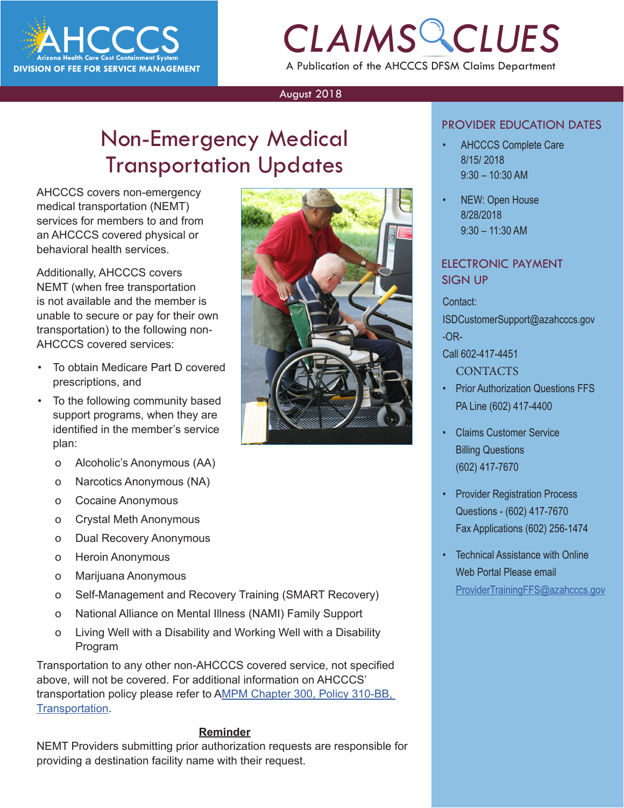

# *CLAIMS CLUES* A Publication of the AHCCCS DFSM Claims Department

#### August 2018

# Non-Emergency Medical Transportation Updates

AHCCCS covers non-emergency medical transportation (NEMT) services for members to and from an AHCCCS covered physical or behavioral health services.

Additionally, AHCCCS covers NEMT (when free transportation is not available and the member is unable to secure or pay for their own transportation) to the following non-AHCCCS covered services:

- To obtain Medicare Part D covered prescriptions, and
- To the following community based support programs, when they are identified in the member's service plan:
	- o Alcoholic's Anonymous (AA)
	- o Narcotics Anonymous (NA)
	- o Cocaine Anonymous
	- o Crystal Meth Anonymous
	- o Dual Recovery Anonymous
	- o Heroin Anonymous
	- o Marijuana Anonymous
	- o Self-Management and Recovery Training (SMART Recovery)
	- o National Alliance on Mental Illness (NAMI) Family Support
	- o Living Well with a Disability and Working Well with a Disability Program

Transportation to any other non-AHCCCS covered service, not specified above, will not be covered. For additional information on AHCCCS' transportation policy please refer to A[MPM Chapter 300, Policy 310-BB,](https://www.azahcccs.gov/shared/Downloads/MedicalPolicyManual/300/310-BBTransportation.pdfhttp://)  [Transportation.](https://www.azahcccs.gov/shared/Downloads/MedicalPolicyManual/300/310-BBTransportation.pdfhttp://)

#### **Reminder**

NEMT Providers submitting prior authorization requests are responsible for providing a destination facility name with their request.



### PROVIDER EDUCATION DATES

- **CONDER EDUCATION DATES**<br> **CAHCCCS Complete Care**<br>
8/15/ 2018 • AHCCCS Complete Care 8/15/ 2018 9:30 – 10:30 AM
	- NEW: Open House 8/28/2018 9:30 – 11:30 AM

### ELECTRONIC PAYMENT SIGN UP

Contact:

ISDCustomerSupport@azahcccs.gov -OR-

### Call 602-417-4451

- **CONTACTS**
- Prior Authorization Questions FFS PA Line (602) 417-4400
- Claims Customer Service Billing Questions (602) 417-7670
- Provider Registration Process Questions - (602) 417-7670 Fax Applications (602) 256-1474
- Technical Assistance with Online Web Portal Please email [ProviderTrainingFFS@azahcccs.gov](mailto:ProviderTrainingFFS%40azahcccs.gov%20?subject=Tech%20Support)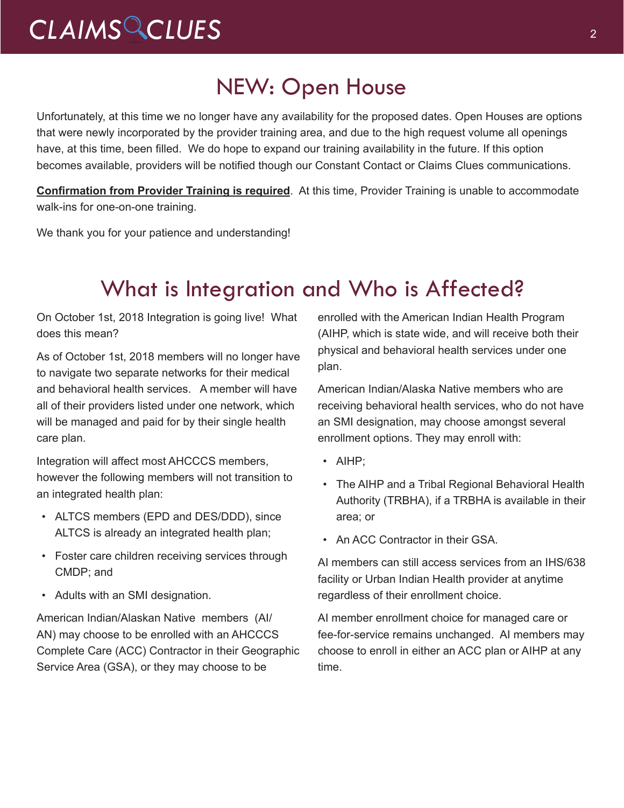# *CLAIMS CLUES* <sup>2</sup>

### NEW: Open House

Unfortunately, at this time we no longer have any availability for the proposed dates. Open Houses are options that were newly incorporated by the provider training area, and due to the high request volume all openings have, at this time, been filled. We do hope to expand our training availability in the future. If this option becomes available, providers will be notified though our Constant Contact or Claims Clues communications.

**Confirmation from Provider Training is required**. At this time, Provider Training is unable to accommodate walk-ins for one-on-one training.

We thank you for your patience and understanding!

### What is Integration and Who is Affected?

On October 1st, 2018 Integration is going live! What does this mean?

As of October 1st, 2018 members will no longer have to navigate two separate networks for their medical and behavioral health services. A member will have all of their providers listed under one network, which will be managed and paid for by their single health care plan.

Integration will affect most AHCCCS members, however the following members will not transition to an integrated health plan:

- ALTCS members (EPD and DES/DDD), since ALTCS is already an integrated health plan;
- Foster care children receiving services through CMDP; and
- Adults with an SMI designation.

American Indian/Alaskan Native members (AI/ AN) may choose to be enrolled with an AHCCCS Complete Care (ACC) Contractor in their Geographic Service Area (GSA), or they may choose to be

enrolled with the American Indian Health Program (AIHP, which is state wide, and will receive both their physical and behavioral health services under one plan.

American Indian/Alaska Native members who are receiving behavioral health services, who do not have an SMI designation, may choose amongst several enrollment options. They may enroll with:

- AIHP;
- The AIHP and a Tribal Regional Behavioral Health Authority (TRBHA), if a TRBHA is available in their area; or
- An ACC Contractor in their GSA

AI members can still access services from an IHS/638 facility or Urban Indian Health provider at anytime regardless of their enrollment choice.

AI member enrollment choice for managed care or fee-for-service remains unchanged. AI members may choose to enroll in either an ACC plan or AIHP at any time.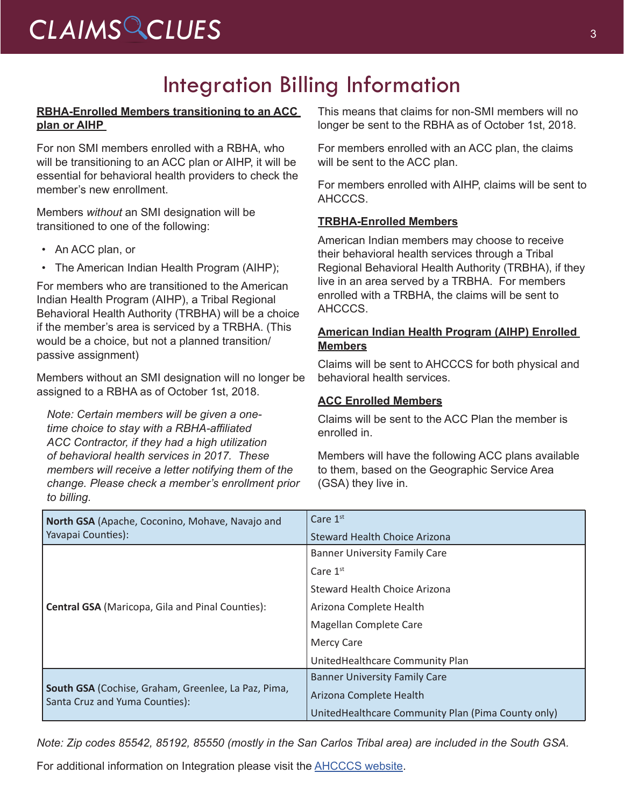# CLAIMS CLUES<sup>3</sup>

# Integration Billing Information

### **RBHA-Enrolled Members transitioning to an ACC plan or AIHP**

For non SMI members enrolled with a RBHA, who will be transitioning to an ACC plan or AIHP, it will be essential for behavioral health providers to check the member's new enrollment.

Members *without* an SMI designation will be transitioned to one of the following:

- An ACC plan, or
- The American Indian Health Program (AIHP);

For members who are transitioned to the American Indian Health Program (AIHP), a Tribal Regional Behavioral Health Authority (TRBHA) will be a choice if the member's area is serviced by a TRBHA. (This would be a choice, but not a planned transition/ passive assignment)

Members without an SMI designation will no longer be assigned to a RBHA as of October 1st, 2018.

*Note: Certain members will be given a onetime choice to stay with a RBHA-affiliated ACC Contractor, if they had a high utilization of behavioral health services in 2017. These members will receive a letter notifying them of the change. Please check a member's enrollment prior to billing.* 

This means that claims for non-SMI members will no longer be sent to the RBHA as of October 1st, 2018.

For members enrolled with an ACC plan, the claims will be sent to the ACC plan.

For members enrolled with AIHP, claims will be sent to AHCCCS.

### **TRBHA-Enrolled Members**

American Indian members may choose to receive their behavioral health services through a Tribal Regional Behavioral Health Authority (TRBHA), if they live in an area served by a TRBHA. For members enrolled with a TRBHA, the claims will be sent to AHCCCS.

### **American Indian Health Program (AIHP) Enrolled Members**

Claims will be sent to AHCCCS for both physical and behavioral health services.

### **ACC Enrolled Members**

Claims will be sent to the ACC Plan the member is enrolled in.

Members will have the following ACC plans available to them, based on the Geographic Service Area (GSA) they live in.

| North GSA (Apache, Coconino, Mohave, Navajo and<br>Yavapai Counties):                 | Care $1st$                                         |
|---------------------------------------------------------------------------------------|----------------------------------------------------|
|                                                                                       | Steward Health Choice Arizona                      |
| <b>Central GSA (Maricopa, Gila and Pinal Counties):</b>                               | <b>Banner University Family Care</b>               |
|                                                                                       | Care $1st$                                         |
|                                                                                       | Steward Health Choice Arizona                      |
|                                                                                       | Arizona Complete Health                            |
|                                                                                       | Magellan Complete Care                             |
|                                                                                       | <b>Mercy Care</b>                                  |
|                                                                                       | UnitedHealthcare Community Plan                    |
| South GSA (Cochise, Graham, Greenlee, La Paz, Pima,<br>Santa Cruz and Yuma Counties): | <b>Banner University Family Care</b>               |
|                                                                                       | Arizona Complete Health                            |
|                                                                                       | UnitedHealthcare Community Plan (Pima County only) |

*Note: Zip codes 85542, 85192, 85550 (mostly in the San Carlos Tribal area) are included in the South GSA.*

For additional information on Integration please visit the [AHCCCS website.](https://www.azahcccs.gov/AHCCCS/Initiatives/AHCCCSCompleteCare/)